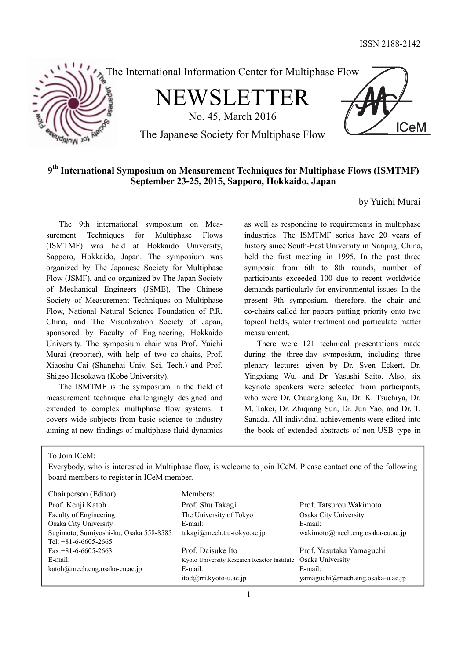

# **9th International Symposium on Measurement Techniques for Multiphase Flows (ISMTMF) September 23-25, 2015, Sapporo, Hokkaido, Japan**

## by Yuichi Murai

The 9th international symposium on Measurement Techniques for Multiphase Flows (ISMTMF) was held at Hokkaido University, Sapporo, Hokkaido, Japan. The symposium was organized by The Japanese Society for Multiphase Flow (JSMF), and co-organized by The Japan Society of Mechanical Engineers (JSME), The Chinese Society of Measurement Techniques on Multiphase Flow, National Natural Science Foundation of P.R. China, and The Visualization Society of Japan, sponsored by Faculty of Engineering, Hokkaido University. The symposium chair was Prof. Yuichi Murai (reporter), with help of two co-chairs, Prof. Xiaoshu Cai (Shanghai Univ. Sci. Tech.) and Prof. Shigeo Hosokawa (Kobe University).

The ISMTMF is the symposium in the field of measurement technique challengingly designed and extended to complex multiphase flow systems. It covers wide subjects from basic science to industry aiming at new findings of multiphase fluid dynamics

as well as responding to requirements in multiphase industries. The ISMTMF series have 20 years of history since South-East University in Nanjing, China, held the first meeting in 1995. In the past three symposia from 6th to 8th rounds, number of participants exceeded 100 due to recent worldwide demands particularly for environmental issues. In the present 9th symposium, therefore, the chair and co-chairs called for papers putting priority onto two topical fields, water treatment and particulate matter measurement.

There were 121 technical presentations made during the three-day symposium, including three plenary lectures given by Dr. Sven Eckert, Dr. Yingxiang Wu, and Dr. Yasushi Saito. Also, six keynote speakers were selected from participants, who were Dr. Chuanglong Xu, Dr. K. Tsuchiya, Dr. M. Takei, Dr. Zhiqiang Sun, Dr. Jun Yao, and Dr. T. Sanada. All individual achievements were edited into the book of extended abstracts of non-USB type in

To Join ICeM:

Everybody, who is interested in Multiphase flow, is welcome to join ICeM. Please contact one of the following board members to register in ICeM member.

| Chairperson (Editor):                  | Members:                                    |                                  |
|----------------------------------------|---------------------------------------------|----------------------------------|
| Prof. Kenji Katoh                      | Prof. Shu Takagi                            | Prof. Tatsurou Wakimoto          |
| Faculty of Engineering                 | The University of Tokyo                     | Osaka City University            |
| Osaka City University                  | E-mail:                                     | E-mail:                          |
| Sugimoto, Sumiyoshi-ku, Osaka 558-8585 | $takagi@mech.t.u-tokyo.ac.jp$               | wakimoto@mech.eng.osaka-cu.ac.jp |
| Tel: $+81-6-6605-2665$                 |                                             |                                  |
| $Fax: +81-6-6605-2663$                 | Prof. Daisuke Ito                           | Prof. Yasutaka Yamaguchi         |
| E-mail:                                | Kyoto University Research Reactor Institute | Osaka University                 |
| katoh@mech.eng.osaka-cu.ac.jp          | E-mail:                                     | E-mail:                          |
|                                        | $itod@rri.kyoto-u.ac.jp$                    | yamaguchi@mech.eng.osaka-u.ac.jp |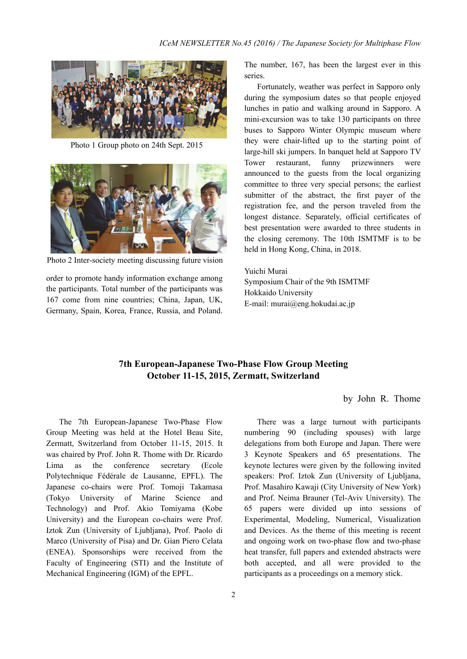

Photo 1 Group photo on 24th Sept. 2015



Photo 2 Inter-society meeting discussing future vision

order to promote handy information exchange among the participants. Total number of the participants was 167 come from nine countries; China, Japan, UK, Germany, Spain, Korea, France, Russia, and Poland. The number, 167, has been the largest ever in this series.

Fortunately, weather was perfect in Sapporo only during the symposium dates so that people enjoyed lunches in patio and walking around in Sapporo. A mini-excursion was to take 130 participants on three buses to Sapporo Winter Olympic museum where they were chair-lifted up to the starting point of large-hill ski jumpers. In banquet held at Sapporo TV Tower restaurant, funny prizewinners were announced to the guests from the local organizing committee to three very special persons; the earliest submitter of the abstract, the first payer of the registration fee, and the person traveled from the longest distance. Separately, official certificates of best presentation were awarded to three students in the closing ceremony. The 10th ISMTMF is to be held in Hong Kong, China, in 2018.

Yuichi Murai Symposium Chair of the 9th ISMTMF Hokkaido University E-mail: murai@eng.hokudai.ac.jp

## **7th European-Japanese Two-Phase Flow Group Meeting October 11-15, 2015, Zermatt, Switzerland**

## by John R. Thome

The 7th European-Japanese Two-Phase Flow Group Meeting was held at the Hotel Beau Site, Zermatt, Switzerland from October 11-15, 2015. It was chaired by Prof. John R. Thome with Dr. Ricardo Lima as the conference secretary (Ecole Polytechnique Fédérale de Lausanne, EPFL). The Japanese co-chairs were Prof. Tomoji Takamasa (Tokyo University of Marine Science and Technology) and Prof. Akio Tomiyama (Kobe University) and the European co-chairs were Prof. Iztok Zun (University of Ljubljana), Prof. Paolo di Marco (University of Pisa) and Dr. Gian Piero Celata (ENEA). Sponsorships were received from the Faculty of Engineering (STI) and the Institute of Mechanical Engineering (IGM) of the EPFL.

There was a large turnout with participants numbering 90 (including spouses) with large delegations from both Europe and Japan. There were 3 Keynote Speakers and 65 presentations. The keynote lectures were given by the following invited speakers: Prof. Iztok Zun (University of Ljubljana, Prof. Masahiro Kawaji (City University of New York) and Prof. Neima Brauner (Tel-Aviv University). The 65 papers were divided up into sessions of Experimental, Modeling, Numerical, Visualization and Devices. As the theme of this meeting is recent and ongoing work on two-phase flow and two-phase heat transfer, full papers and extended abstracts were both accepted, and all were provided to the participants as a proceedings on a memory stick.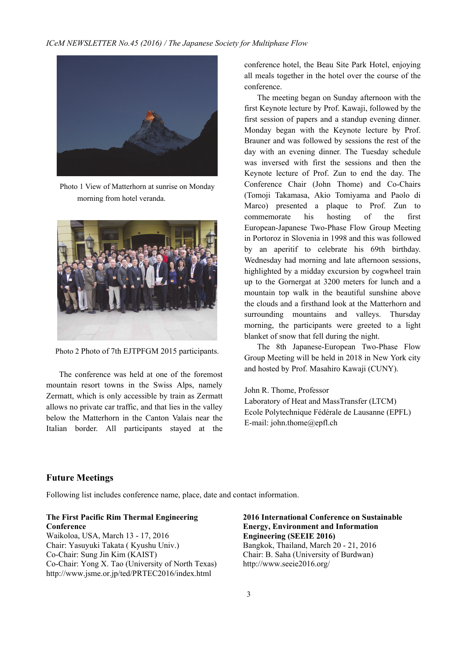

Photo 1 View of Matterhorn at sunrise on Monday morning from hotel veranda.



Photo 2 Photo of 7th EJTPFGM 2015 participants.

The conference was held at one of the foremost mountain resort towns in the Swiss Alps, namely Zermatt, which is only accessible by train as Zermatt allows no private car traffic, and that lies in the valley below the Matterhorn in the Canton Valais near the Italian border. All participants stayed at the

conference hotel, the Beau Site Park Hotel, enjoying all meals together in the hotel over the course of the conference.

The meeting began on Sunday afternoon with the first Keynote lecture by Prof. Kawaji, followed by the first session of papers and a standup evening dinner. Monday began with the Keynote lecture by Prof. Brauner and was followed by sessions the rest of the day with an evening dinner. The Tuesday schedule was inversed with first the sessions and then the Keynote lecture of Prof. Zun to end the day. The Conference Chair (John Thome) and Co-Chairs (Tomoji Takamasa, Akio Tomiyama and Paolo di Marco) presented a plaque to Prof. Zun to commemorate his hosting of the first European-Japanese Two-Phase Flow Group Meeting in Portoroz in Slovenia in 1998 and this was followed by an aperitif to celebrate his 69th birthday. Wednesday had morning and late afternoon sessions, highlighted by a midday excursion by cogwheel train up to the Gornergat at 3200 meters for lunch and a mountain top walk in the beautiful sunshine above the clouds and a firsthand look at the Matterhorn and surrounding mountains and valleys. Thursday morning, the participants were greeted to a light blanket of snow that fell during the night.

The 8th Japanese-European Two-Phase Flow Group Meeting will be held in 2018 in New York city and hosted by Prof. Masahiro Kawaji (CUNY).

#### John R. Thome, Professor

Laboratory of Heat and MassTransfer (LTCM) Ecole Polytechnique Fédérale de Lausanne (EPFL) E-mail: john.thome@epfl.ch

## **Future Meetings**

Following list includes conference name, place, date and contact information.

#### **The First Pacific Rim Thermal Engineering Conference**

Waikoloa, USA, March 13 - 17, 2016 Chair: Yasuyuki Takata ( Kyushu Univ.) Co-Chair: Sung Jin Kim (KAIST) Co-Chair: Yong X. Tao (University of North Texas) http://www.jsme.or.jp/ted/PRTEC2016/index.html

**2016 International Conference on Sustainable Energy, Environment and Information Engineering (SEEIE 2016)**  Bangkok, Thailand, March 20 - 21, 2016 Chair: B. Saha (University of Burdwan) http://www.seeie2016.org/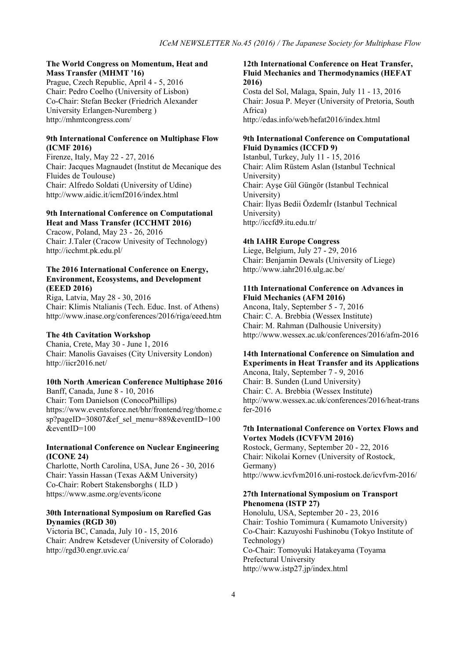#### **The World Congress on Momentum, Heat and Mass Transfer (MHMT '16)**

Prague, Czech Republic, April 4 - 5, 2016 Chair: Pedro Coelho (University of Lisbon) Co-Chair: Stefan Becker (Friedrich Alexander University Erlangen-Nuremberg ) http://mhmtcongress.com/

#### **9th International Conference on Multiphase Flow (ICMF 2016)**

Firenze, Italy, May 22 - 27, 2016 Chair: Jacques Magnaudet (Institut de Mecanique des Fluides de Toulouse) Chair: Alfredo Soldati (University of Udine) http://www.aidic.it/icmf2016/index.html

#### **9th International Conference on Computational Heat and Mass Transfer (ICCHMT 2016)**

Cracow, Poland, May 23 - 26, 2016 Chair: J.Taler (Cracow Univesity of Technology) http://icchmt.pk.edu.pl/

#### **The 2016 International Conference on Energy, Environment, Ecosystems, and Development (EEED 2016)**

Riga, Latvia, May 28 - 30, 2016 Chair: Klimis Ntalianis (Tech. Educ. Inst. of Athens) http://www.inase.org/conferences/2016/riga/eeed.htm

#### **The 4th Cavitation Workshop**

Chania, Crete, May 30 - June 1, 2016 Chair: Manolis Gavaises (City University London) http://iicr2016.net/

#### **10th North American Conference Multiphase 2016**

Banff, Canada, June 8 - 10, 2016 Chair: Tom Danielson (ConocoPhillips) https://www.eventsforce.net/bhr/frontend/reg/thome.c sp?pageID=30807&ef sel\_menu=889&eventID=100 &eventID=100

#### **International Conference on Nuclear Engineering (ICONE 24)**

Charlotte, North Carolina, USA, June 26 - 30, 2016 Chair: Yassin Hassan (Texas A&M University) Co-Chair: Robert Stakensborghs ( ILD ) https://www.asme.org/events/icone

#### **30th International Symposium on Rarefied Gas Dynamics (RGD 30)**

Victoria BC, Canada, July 10 - 15, 2016 Chair: Andrew Ketsdever (University of Colorado) http://rgd30.engr.uvic.ca/

#### **12th International Conference on Heat Transfer, Fluid Mechanics and Thermodynamics (HEFAT 2016)**

Costa del Sol, Malaga, Spain, July 11 - 13, 2016 Chair: Josua P. Meyer (University of Pretoria, South Africa) http://edas.info/web/hefat2016/index.html

#### **9th International Conference on Computational Fluid Dynamics (ICCFD 9)**

Istanbul, Turkey, July 11 - 15, 2016 Chair: Alim Rüstem Aslan (Istanbul Technical University) Chair: Ayşe Gül Güngör (Istanbul Technical University) Chair: İlyas Bedii Özdemİr (Istanbul Technical University) http://iccfd9.itu.edu.tr/

#### **4th IAHR Europe Congress**

Liege, Belgium, July 27 - 29, 2016 Chair: Benjamin Dewals (University of Liege) http://www.iahr2016.ulg.ac.be/

### **11th International Conference on Advances in Fluid Mechanics (AFM 2016)**

Ancona, Italy, September 5 - 7, 2016 Chair: C. A. Brebbia (Wessex Institute) Chair: M. Rahman (Dalhousie University) http://www.wessex.ac.uk/conferences/2016/afm-2016

#### **14th International Conference on Simulation and Experiments in Heat Transfer and its Applications**  Ancona, Italy, September 7 - 9, 2016

Chair: B. Sunden (Lund University) Chair: C. A. Brebbia (Wessex Institute) http://www.wessex.ac.uk/conferences/2016/heat-trans fer-2016

#### **7th International Conference on Vortex Flows and Vortex Models (ICVFVM 2016)**

Rostock, Germany, September 20 - 22, 2016 Chair: Nikolai Kornev (University of Rostock, Germany) http://www.icvfvm2016.uni-rostock.de/icvfvm-2016/

#### **27th International Symposium on Transport Phenomena (ISTP 27)**

Honolulu, USA, September 20 - 23, 2016 Chair: Toshio Tomimura ( Kumamoto University) Co-Chair: Kazuyoshi Fushinobu (Tokyo Institute of Technology) Co-Chair: Tomoyuki Hatakeyama (Toyama Prefectural University http://www.istp27.jp/index.html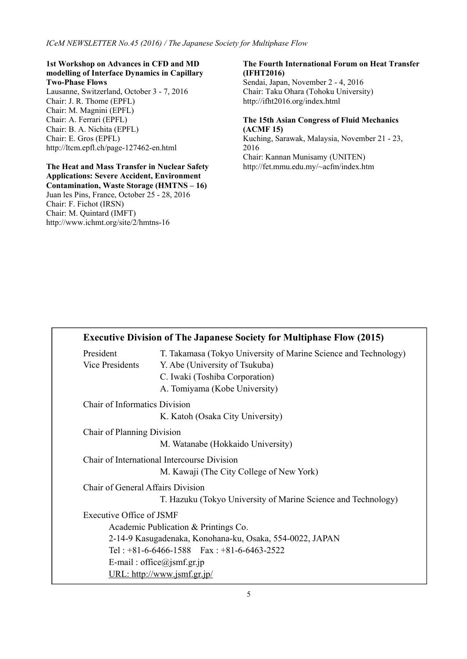#### **1st Workshop on Advances in CFD and MD modelling of Interface Dynamics in Capillary Two-Phase Flows**

Lausanne, Switzerland, October 3 - 7, 2016 Chair: J. R. Thome (EPFL) Chair: M. Magnini (EPFL) Chair: A. Ferrari (EPFL) Chair: B. A. Nichita (EPFL) Chair: E. Gros (EPFL) http://ltcm.epfl.ch/page-127462-en.html

#### **The Heat and Mass Transfer in Nuclear Safety Applications: Severe Accident, Environment**

**Contamination, Waste Storage (HMTNS – 16)**  Juan les Pins, France, October 25 - 28, 2016 Chair: F. Fichot (IRSN) Chair: M. Quintard (IMFT) http://www.ichmt.org/site/2/hmtns-16

#### **The Fourth International Forum on Heat Transfer (IFHT2016)**

Sendai, Japan, November 2 - 4, 2016 Chair: Taku Ohara (Tohoku University) http://ifht2016.org/index.html

### **The 15th Asian Congress of Fluid Mechanics (ACMF 15)**

Kuching, Sarawak, Malaysia, November 21 - 23, 2016 Chair: Kannan Munisamy (UNITEN) http://fet.mmu.edu.my/~acfm/index.htm

|                                      | <b>Executive Division of The Japanese Society for Multiphase Flow (2015)</b> |
|--------------------------------------|------------------------------------------------------------------------------|
| President                            | T. Takamasa (Tokyo University of Marine Science and Technology)              |
| Vice Presidents                      | Y. Abe (University of Tsukuba)                                               |
|                                      | C. Iwaki (Toshiba Corporation)                                               |
|                                      | A. Tomiyama (Kobe University)                                                |
| <b>Chair of Informatics Division</b> |                                                                              |
|                                      | K. Katoh (Osaka City University)                                             |
| Chair of Planning Division           |                                                                              |
|                                      | M. Watanabe (Hokkaido University)                                            |
|                                      | Chair of International Intercourse Division                                  |
|                                      | M. Kawaji (The City College of New York)                                     |
| Chair of General Affairs Division    |                                                                              |
|                                      | T. Hazuku (Tokyo University of Marine Science and Technology)                |
| Executive Office of JSMF             |                                                                              |
|                                      | Academic Publication & Printings Co.                                         |
|                                      | 2-14-9 Kasugadenaka, Konohana-ku, Osaka, 554-0022, JAPAN                     |
|                                      | Tel: $+81-6-6466-1588$ Fax: $+81-6-6463-2522$                                |
|                                      | E-mail: office@jsmf.gr.jp                                                    |
|                                      | <u>URL: http://www.jsmf.gr.jp/</u>                                           |